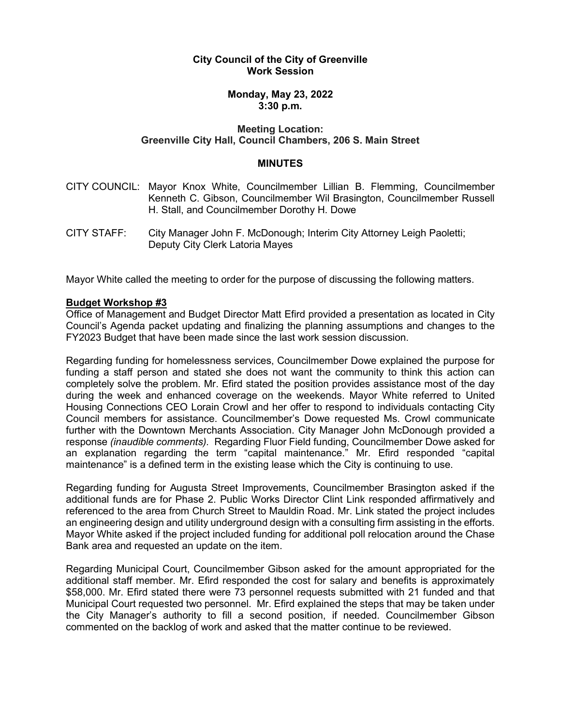# **City Council of the City of Greenville Work Session**

# **Monday, May 23, 2022 3:30 p.m.**

# **Meeting Location: Greenville City Hall, Council Chambers, 206 S. Main Street**

#### **MINUTES**

- CITY COUNCIL: Mayor Knox White, Councilmember Lillian B. Flemming, Councilmember Kenneth C. Gibson, Councilmember Wil Brasington, Councilmember Russell H. Stall, and Councilmember Dorothy H. Dowe
- CITY STAFF: City Manager John F. McDonough; Interim City Attorney Leigh Paoletti; Deputy City Clerk Latoria Mayes

Mayor White called the meeting to order for the purpose of discussing the following matters.

### **Budget Workshop #3**

Office of Management and Budget Director Matt Efird provided a presentation as located in City Council's Agenda packet updating and finalizing the planning assumptions and changes to the FY2023 Budget that have been made since the last work session discussion.

Regarding funding for homelessness services, Councilmember Dowe explained the purpose for funding a staff person and stated she does not want the community to think this action can completely solve the problem. Mr. Efird stated the position provides assistance most of the day during the week and enhanced coverage on the weekends. Mayor White referred to United Housing Connections CEO Lorain Crowl and her offer to respond to individuals contacting City Council members for assistance. Councilmember's Dowe requested Ms. Crowl communicate further with the Downtown Merchants Association. City Manager John McDonough provided a response *(inaudible comments).* Regarding Fluor Field funding, Councilmember Dowe asked for an explanation regarding the term "capital maintenance." Mr. Efird responded "capital maintenance" is a defined term in the existing lease which the City is continuing to use.

Regarding funding for Augusta Street Improvements, Councilmember Brasington asked if the additional funds are for Phase 2. Public Works Director Clint Link responded affirmatively and referenced to the area from Church Street to Mauldin Road. Mr. Link stated the project includes an engineering design and utility underground design with a consulting firm assisting in the efforts. Mayor White asked if the project included funding for additional poll relocation around the Chase Bank area and requested an update on the item.

Regarding Municipal Court, Councilmember Gibson asked for the amount appropriated for the additional staff member. Mr. Efird responded the cost for salary and benefits is approximately \$58,000. Mr. Efird stated there were 73 personnel requests submitted with 21 funded and that Municipal Court requested two personnel. Mr. Efird explained the steps that may be taken under the City Manager's authority to fill a second position, if needed. Councilmember Gibson commented on the backlog of work and asked that the matter continue to be reviewed.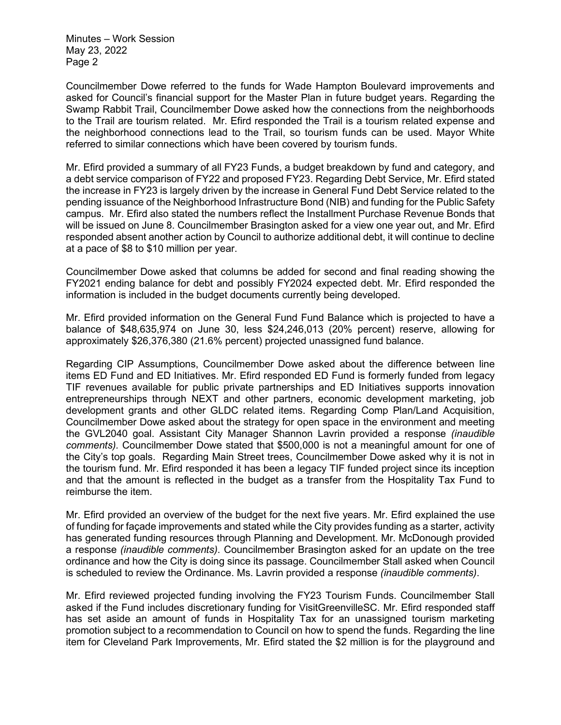Minutes – Work Session May 23, 2022 Page 2

Councilmember Dowe referred to the funds for Wade Hampton Boulevard improvements and asked for Council's financial support for the Master Plan in future budget years. Regarding the Swamp Rabbit Trail, Councilmember Dowe asked how the connections from the neighborhoods to the Trail are tourism related. Mr. Efird responded the Trail is a tourism related expense and the neighborhood connections lead to the Trail, so tourism funds can be used. Mayor White referred to similar connections which have been covered by tourism funds.

Mr. Efird provided a summary of all FY23 Funds, a budget breakdown by fund and category, and a debt service comparison of FY22 and proposed FY23. Regarding Debt Service, Mr. Efird stated the increase in FY23 is largely driven by the increase in General Fund Debt Service related to the pending issuance of the Neighborhood Infrastructure Bond (NIB) and funding for the Public Safety campus. Mr. Efird also stated the numbers reflect the Installment Purchase Revenue Bonds that will be issued on June 8. Councilmember Brasington asked for a view one year out, and Mr. Efird responded absent another action by Council to authorize additional debt, it will continue to decline at a pace of \$8 to \$10 million per year.

Councilmember Dowe asked that columns be added for second and final reading showing the FY2021 ending balance for debt and possibly FY2024 expected debt. Mr. Efird responded the information is included in the budget documents currently being developed.

Mr. Efird provided information on the General Fund Fund Balance which is projected to have a balance of \$48,635,974 on June 30, less \$24,246,013 (20% percent) reserve, allowing for approximately \$26,376,380 (21.6% percent) projected unassigned fund balance.

Regarding CIP Assumptions, Councilmember Dowe asked about the difference between line items ED Fund and ED Initiatives. Mr. Efird responded ED Fund is formerly funded from legacy TIF revenues available for public private partnerships and ED Initiatives supports innovation entrepreneurships through NEXT and other partners, economic development marketing, job development grants and other GLDC related items. Regarding Comp Plan/Land Acquisition, Councilmember Dowe asked about the strategy for open space in the environment and meeting the GVL2040 goal. Assistant City Manager Shannon Lavrin provided a response *(inaudible comments).* Councilmember Dowe stated that \$500,000 is not a meaningful amount for one of the City's top goals. Regarding Main Street trees, Councilmember Dowe asked why it is not in the tourism fund. Mr. Efird responded it has been a legacy TIF funded project since its inception and that the amount is reflected in the budget as a transfer from the Hospitality Tax Fund to reimburse the item.

Mr. Efird provided an overview of the budget for the next five years. Mr. Efird explained the use of funding for façade improvements and stated while the City provides funding as a starter, activity has generated funding resources through Planning and Development. Mr. McDonough provided a response *(inaudible comments)*. Councilmember Brasington asked for an update on the tree ordinance and how the City is doing since its passage. Councilmember Stall asked when Council is scheduled to review the Ordinance. Ms. Lavrin provided a response *(inaudible comments)*.

Mr. Efird reviewed projected funding involving the FY23 Tourism Funds. Councilmember Stall asked if the Fund includes discretionary funding for VisitGreenvilleSC. Mr. Efird responded staff has set aside an amount of funds in Hospitality Tax for an unassigned tourism marketing promotion subject to a recommendation to Council on how to spend the funds. Regarding the line item for Cleveland Park Improvements, Mr. Efird stated the \$2 million is for the playground and